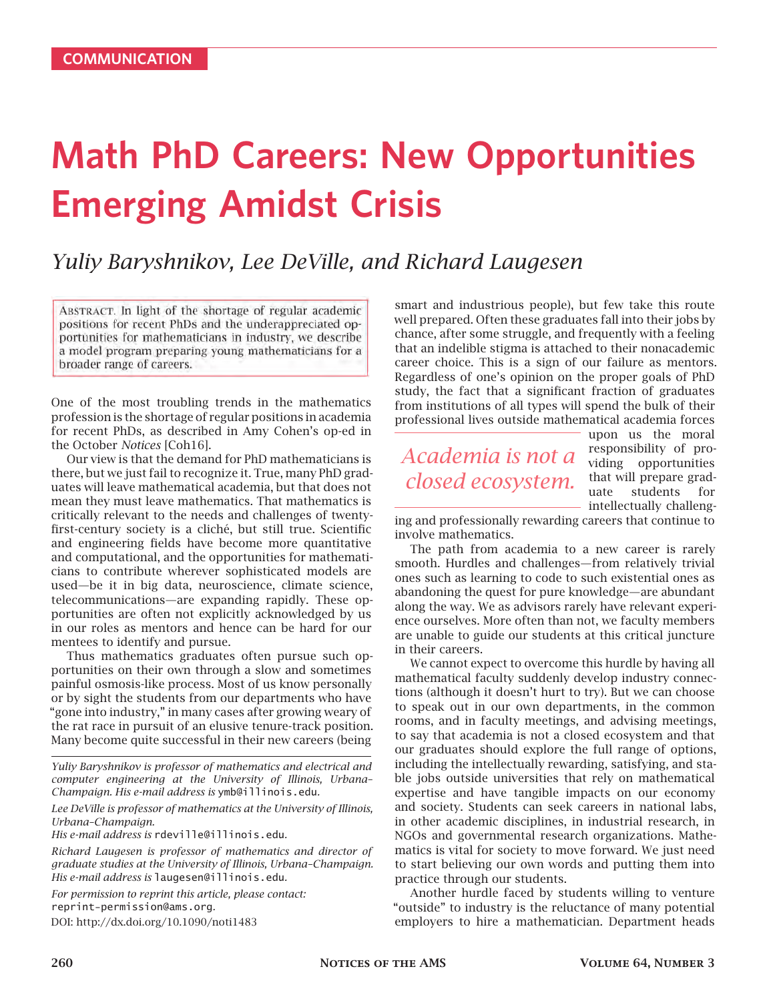# **Math PhD Careers: New Opportunities Emerging Amidst Crisis**

## *Yuliy Baryshnikov, Lee DeVille, and Richard Laugesen*

ABSTRACT. In light of the shortage of regular academic positions for recent PhDs and the underappreciated opportunities for mathematicians in industry, we describe a model program preparing young mathematicians for a broader range of careers.

One of the most troubling trends in the mathematics profession is the shortage of regular positions in academia for recent PhDs, as described in Amy Cohen's op-ed in the October *Notices* [Coh16].

Our view is that the demand for PhD mathematicians is there, but we just fail to recognize it. True, many PhD graduates will leave mathematical academia, but that does not mean they must leave mathematics. That mathematics is critically relevant to the needs and challenges of twentyfirst-century society is a cliché, but still true. Scientific and engineering fields have become more quantitative and computational, and the opportunities for mathematicians to contribute wherever sophisticated models are used—be it in big data, neuroscience, climate science, telecommunications—are expanding rapidly. These opportunities are often not explicitly acknowledged by us in our roles as mentors and hence can be hard for our mentees to identify and pursue.

Thus mathematics graduates often pursue such opportunities on their own through a slow and sometimes painful osmosis-like process. Most of us know personally or by sight the students from our departments who have "gone into industry," in many cases after growing weary of the rat race in pursuit of an elusive tenure-track position. Many become quite successful in their new careers (being

*Yuliy Baryshnikov is professor of mathematics and electrical and computer engineering at the University of Illinois, Urbana– Champaign. His e-mail address is* ymb@illinois.edu*.*

*Lee DeVille is professor of mathematics at the University of Illinois, Urbana–Champaign.*

*His e-mail address is* rdeville@illinois.edu*.*

*Richard Laugesen is professor of mathematics and director of graduate studies at the University of Illinois, Urbana–Champaign. His e-mail address is* laugesen@illinois.edu*.*

*For permission to reprint this article, please contact:* reprint-permission@ams.org*.* DOI: http://dx.doi.org/10.1090/noti1483

smart and industrious people), but few take this route well prepared. Often these graduates fall into their jobs by chance, after some struggle, and frequently with a feeling that an indelible stigma is attached to their nonacademic career choice. This is a sign of our failure as mentors. Regardless of one's opinion on the proper goals of PhD study, the fact that a significant fraction of graduates from institutions of all types will spend the bulk of their professional lives outside mathematical academia forces

# *Academia is not a closed ecosystem.*

upon us the moral responsibility of providing opportunities that will prepare graduate students for intellectually challeng-

ing and professionally rewarding careers that continue to involve mathematics.

The path from academia to a new career is rarely smooth. Hurdles and challenges—from relatively trivial ones such as learning to code to such existential ones as abandoning the quest for pure knowledge—are abundant along the way. We as advisors rarely have relevant experience ourselves. More often than not, we faculty members are unable to guide our students at this critical juncture in their careers.

We cannot expect to overcome this hurdle by having all mathematical faculty suddenly develop industry connections (although it doesn't hurt to try). But we can choose to speak out in our own departments, in the common rooms, and in faculty meetings, and advising meetings, to say that academia is not a closed ecosystem and that our graduates should explore the full range of options, including the intellectually rewarding, satisfying, and stable jobs outside universities that rely on mathematical expertise and have tangible impacts on our economy and society. Students can seek careers in national labs, in other academic disciplines, in industrial research, in NGOs and governmental research organizations. Mathematics is vital for society to move forward. We just need to start believing our own words and putting them into practice through our students.

Another hurdle faced by students willing to venture "outside" to industry is the reluctance of many potential employers to hire a mathematician. Department heads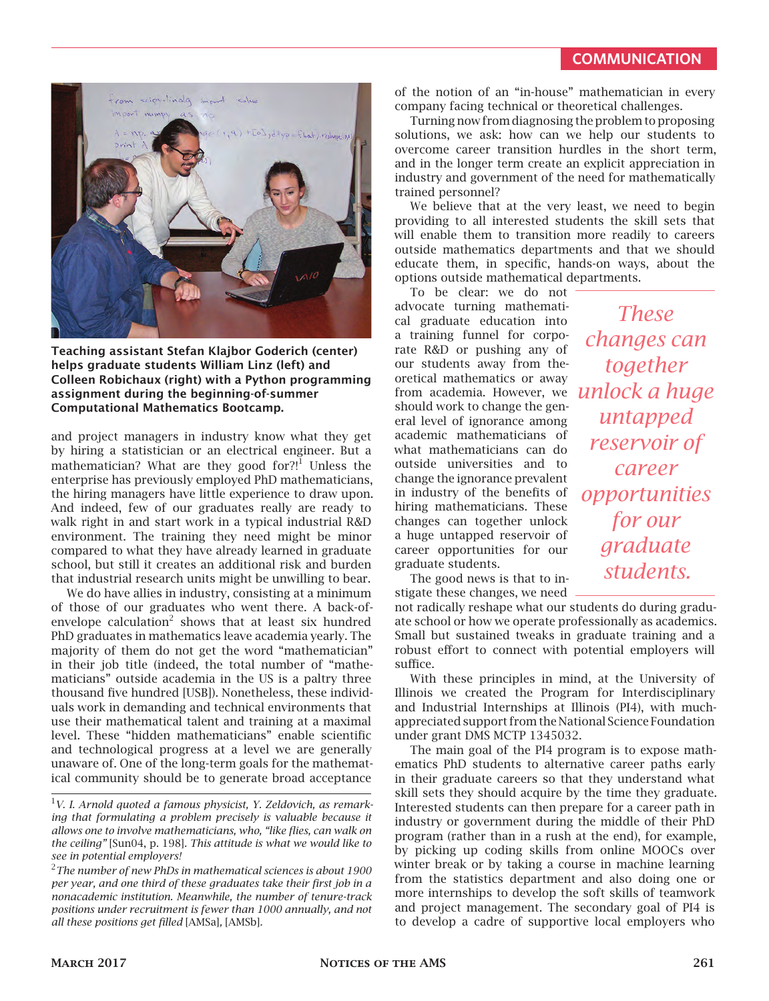

**Teaching assistant Stefan Klajbor Goderich (center) helps graduate students William Linz (left) and Colleen Robichaux (right) with a Python programming assignment during the beginning-of-summer Computational Mathematics Bootcamp.**

and project managers in industry know what they get by hiring a statistician or an electrical engineer. But a mathematician? What are they good for?!<sup>1</sup> Unless the enterprise has previously employed PhD mathematicians, the hiring managers have little experience to draw upon. And indeed, few of our graduates really are ready to walk right in and start work in a typical industrial R&D environment. The training they need might be minor compared to what they have already learned in graduate school, but still it creates an additional risk and burden that industrial research units might be unwilling to bear.

We do have allies in industry, consisting at a minimum of those of our graduates who went there. A back-ofenvelope calculation<sup>2</sup> shows that at least six hundred PhD graduates in mathematics leave academia yearly. The majority of them do not get the word "mathematician" in their job title (indeed, the total number of "mathematicians" outside academia in the US is a paltry three thousand five hundred [USB]). Nonetheless, these individuals work in demanding and technical environments that use their mathematical talent and training at a maximal level. These "hidden mathematicians" enable scientific and technological progress at a level we are generally unaware of. One of the long-term goals for the mathematical community should be to generate broad acceptance

of the notion of an "in-house" mathematician in every company facing technical or theoretical challenges.

Turning now from diagnosing the problem to proposing solutions, we ask: how can we help our students to overcome career transition hurdles in the short term, and in the longer term create an explicit appreciation in industry and government of the need for mathematically trained personnel?

We believe that at the very least, we need to begin providing to all interested students the skill sets that will enable them to transition more readily to careers outside mathematics departments and that we should educate them, in specific, hands-on ways, about the options outside mathematical departments.

To be clear: we do not advocate turning mathematical graduate education into a training funnel for corporate R&D or pushing any of our students away from theoretical mathematics or away from academia. However, we should work to change the general level of ignorance among academic mathematicians of what mathematicians can do outside universities and to change the ignorance prevalent in industry of the benefits of hiring mathematicians. These changes can together unlock a huge untapped reservoir of career opportunities for our graduate students.

The good news is that to instigate these changes, we need

not radically reshape what our students do during graduate school or how we operate professionally as academics. Small but sustained tweaks in graduate training and a robust effort to connect with potential employers will suffice.

With these principles in mind, at the University of Illinois we created the Program for Interdisciplinary and Industrial Internships at Illinois (PI4), with muchappreciated support from the National Science Foundation under grant DMS MCTP 1345032.

The main goal of the PI4 program is to expose mathematics PhD students to alternative career paths early in their graduate careers so that they understand what skill sets they should acquire by the time they graduate. Interested students can then prepare for a career path in industry or government during the middle of their PhD program (rather than in a rush at the end), for example, by picking up coding skills from online MOOCs over winter break or by taking a course in machine learning from the statistics department and also doing one or more internships to develop the soft skills of teamwork and project management. The secondary goal of PI4 is to develop a cadre of supportive local employers who

*These changes can together unlock a huge untapped reservoir of career opportunities for our graduate students.*

<sup>1</sup>*V. I. Arnold quoted a famous physicist, Y. Zeldovich, as remarking that formulating a problem precisely is valuable because it allows one to involve mathematicians, who, "like flies, can walk on the ceiling"* [Sun04, p. 198]*. This attitude is what we would like to see in potential employers!*

<sup>2</sup>*The number of new PhDs in mathematical sciences is about 1900 per year, and one third of these graduates take their first job in a nonacademic institution. Meanwhile, the number of tenure-track positions under recruitment is fewer than 1000 annually, and not all these positions get filled* [AMSa]*,* [AMSb]*.*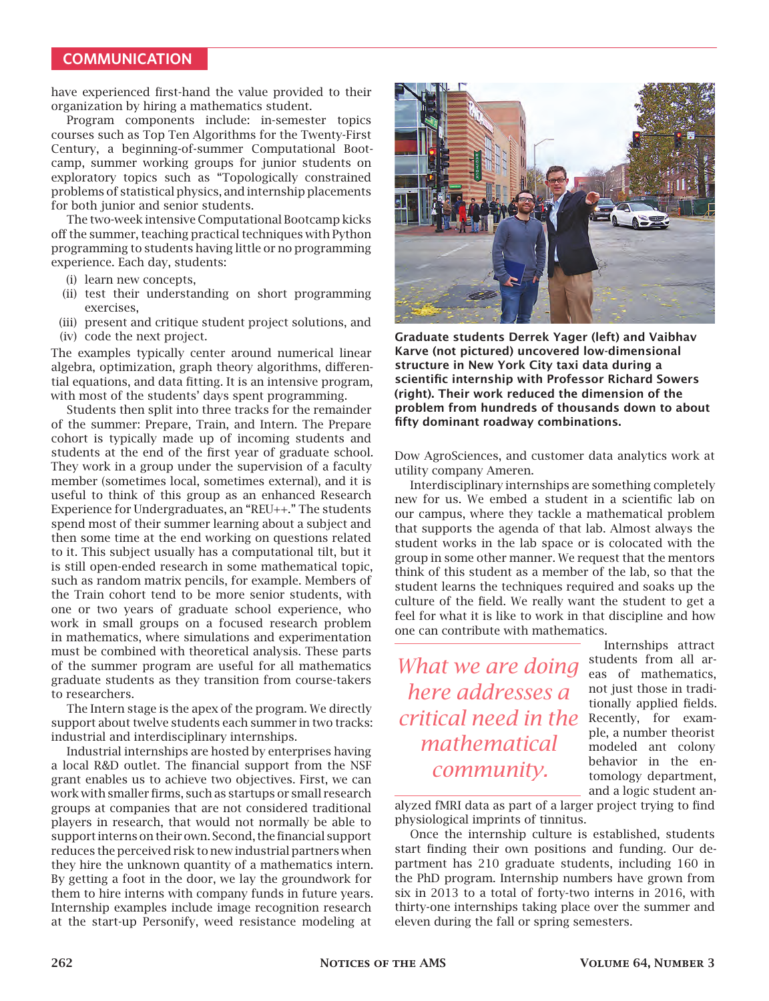#### **COMMUNICATION**

have experienced first-hand the value provided to their organization by hiring a mathematics student.

Program components include: in-semester topics courses such as Top Ten Algorithms for the Twenty-First Century, a beginning-of-summer Computational Bootcamp, summer working groups for junior students on exploratory topics such as "Topologically constrained problems of statistical physics, and internship placements for both junior and senior students.

The two-week intensive Computational Bootcamp kicks off the summer, teaching practical techniques with Python programming to students having little or no programming experience. Each day, students:

- (i) learn new concepts,
- (ii) test their understanding on short programming exercises,
- (iii) present and critique student project solutions, and
- (iv) code the next project.

The examples typically center around numerical linear algebra, optimization, graph theory algorithms, differential equations, and data fitting. It is an intensive program, with most of the students' days spent programming.

Students then split into three tracks for the remainder of the summer: Prepare, Train, and Intern. The Prepare cohort is typically made up of incoming students and students at the end of the first year of graduate school. They work in a group under the supervision of a faculty member (sometimes local, sometimes external), and it is useful to think of this group as an enhanced Research Experience for Undergraduates, an "REU++." The students spend most of their summer learning about a subject and then some time at the end working on questions related to it. This subject usually has a computational tilt, but it is still open-ended research in some mathematical topic, such as random matrix pencils, for example. Members of the Train cohort tend to be more senior students, with one or two years of graduate school experience, who work in small groups on a focused research problem in mathematics, where simulations and experimentation must be combined with theoretical analysis. These parts of the summer program are useful for all mathematics graduate students as they transition from course-takers to researchers.

The Intern stage is the apex of the program. We directly support about twelve students each summer in two tracks: industrial and interdisciplinary internships.

Industrial internships are hosted by enterprises having a local R&D outlet. The financial support from the NSF grant enables us to achieve two objectives. First, we can work with smaller firms, such as startups or small research groups at companies that are not considered traditional players in research, that would not normally be able to support interns on their own. Second, the financial support reduces the perceived risk to new industrial partners when they hire the unknown quantity of a mathematics intern. By getting a foot in the door, we lay the groundwork for them to hire interns with company funds in future years. Internship examples include image recognition research at the start-up Personify, weed resistance modeling at



**Graduate students Derrek Yager (left) and Vaibhav Karve (not pictured) uncovered low-dimensional structure in New York City taxi data during a scientific internship with Professor Richard Sowers (right). Their work reduced the dimension of the problem from hundreds of thousands down to about fifty dominant roadway combinations.**

Dow AgroSciences, and customer data analytics work at utility company Ameren.

Interdisciplinary internships are something completely new for us. We embed a student in a scientific lab on our campus, where they tackle a mathematical problem that supports the agenda of that lab. Almost always the student works in the lab space or is colocated with the group in some other manner. We request that the mentors think of this student as a member of the lab, so that the student learns the techniques required and soaks up the culture of the field. We really want the student to get a feel for what it is like to work in that discipline and how one can contribute with mathematics.

*What we are doing here addresses a critical need in the* Recently, for exam*mathematical community.*

Internships attract students from all areas of mathematics, not just those in traditionally applied fields. ple, a number theorist modeled ant colony behavior in the entomology department, and a logic student an-

alyzed fMRI data as part of a larger project trying to find physiological imprints of tinnitus.

Once the internship culture is established, students start finding their own positions and funding. Our department has 210 graduate students, including 160 in the PhD program. Internship numbers have grown from six in 2013 to a total of forty-two interns in 2016, with thirty-one internships taking place over the summer and eleven during the fall or spring semesters.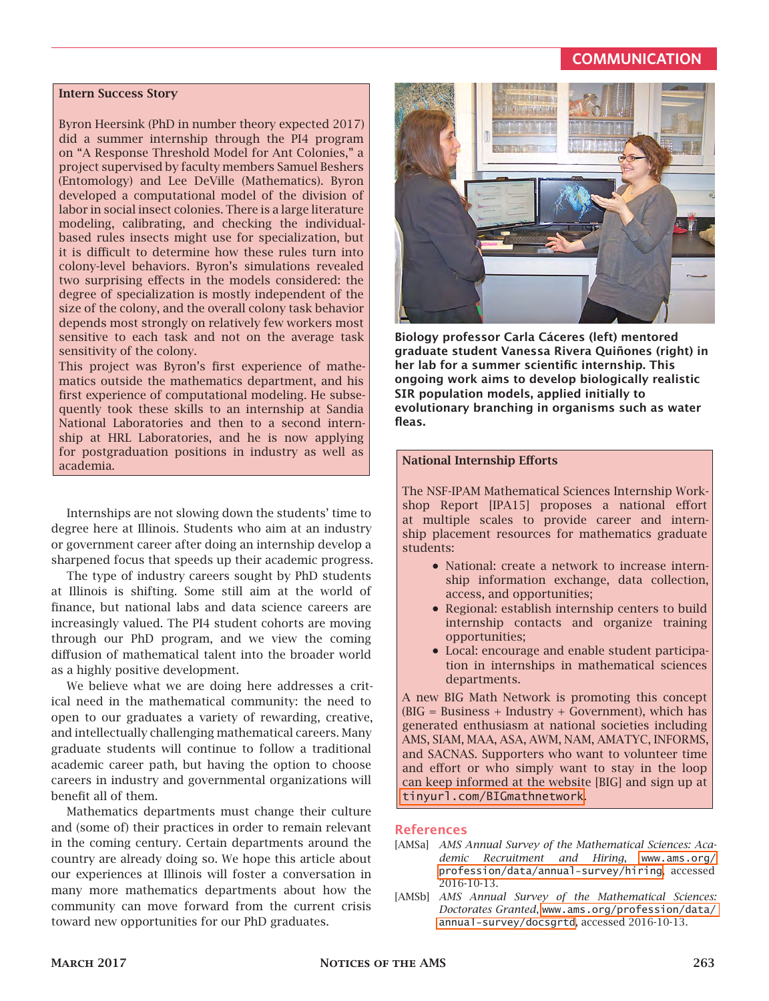#### **COMMUNICATION**

#### **Intern Success Story**

Byron Heersink (PhD in number theory expected 2017) did a summer internship through the PI4 program on "A Response Threshold Model for Ant Colonies," a project supervised by faculty members Samuel Beshers (Entomology) and Lee DeVille (Mathematics). Byron developed a computational model of the division of labor in social insect colonies. There is a large literature modeling, calibrating, and checking the individualbased rules insects might use for specialization, but it is difficult to determine how these rules turn into colony-level behaviors. Byron's simulations revealed two surprising effects in the models considered: the degree of specialization is mostly independent of the size of the colony, and the overall colony task behavior depends most strongly on relatively few workers most sensitive to each task and not on the average task sensitivity of the colony.

This project was Byron's first experience of mathematics outside the mathematics department, and his first experience of computational modeling. He subsequently took these skills to an internship at Sandia National Laboratories and then to a second internship at HRL Laboratories, and he is now applying for postgraduation positions in industry as well as academia.

Internships are not slowing down the students' time to degree here at Illinois. Students who aim at an industry or government career after doing an internship develop a sharpened focus that speeds up their academic progress.

The type of industry careers sought by PhD students at Illinois is shifting. Some still aim at the world of finance, but national labs and data science careers are increasingly valued. The PI4 student cohorts are moving through our PhD program, and we view the coming diffusion of mathematical talent into the broader world as a highly positive development.

We believe what we are doing here addresses a critical need in the mathematical community: the need to open to our graduates a variety of rewarding, creative, and intellectually challenging mathematical careers. Many graduate students will continue to follow a traditional academic career path, but having the option to choose careers in industry and governmental organizations will benefit all of them.

Mathematics departments must change their culture and (some of) their practices in order to remain relevant in the coming century. Certain departments around the country are already doing so. We hope this article about our experiences at Illinois will foster a conversation in many more mathematics departments about how the community can move forward from the current crisis toward new opportunities for our PhD graduates.



**Biology professor Carla Cáceres (left) mentored graduate student Vanessa Rivera Quiñones (right) in her lab for a summer scientific internship. This ongoing work aims to develop biologically realistic SIR population models, applied initially to evolutionary branching in organisms such as water fleas.**

#### **National Internship Efforts**

The NSF-IPAM Mathematical Sciences Internship Workshop Report [IPA15] proposes a national effort at multiple scales to provide career and internship placement resources for mathematics graduate students:

- National: create a network to increase internship information exchange, data collection, access, and opportunities;
- Regional: establish internship centers to build internship contacts and organize training opportunities;
- Local: encourage and enable student participation in internships in mathematical sciences departments.

A new BIG Math Network is promoting this concept  $(BIG = Business + Industry + Government)$ , which has generated enthusiasm at national societies including AMS, SIAM, MAA, ASA, AWM, NAM, AMATYC, INFORMS, and SACNAS. Supporters who want to volunteer time and effort or who simply want to stay in the loop can keep informed at the website [BIG] and sign up at [tinyurl.com/BIGmathnetwork](http://tinyurl.com/BIGmathnetwork).

#### **References**

- [AMSa] *AMS Annual Survey of the Mathematical Sciences: Academic Recruitment and Hiring*, [www.ams.org/](http://www.ams.org/profession/data/annual-survey/hiring) [profession/data/annual-survey/hiring](http://www.ams.org/profession/data/annual-survey/hiring), accessed 2016-10-13.
- [AMSb] *AMS Annual Survey of the Mathematical Sciences: Doctorates Granted*, [www.ams.org/profession/data/](http://www.ams.org/profession/data/annual-survey/docsgrtd) [annual-survey/docsgrtd](http://www.ams.org/profession/data/annual-survey/docsgrtd), accessed 2016-10-13.